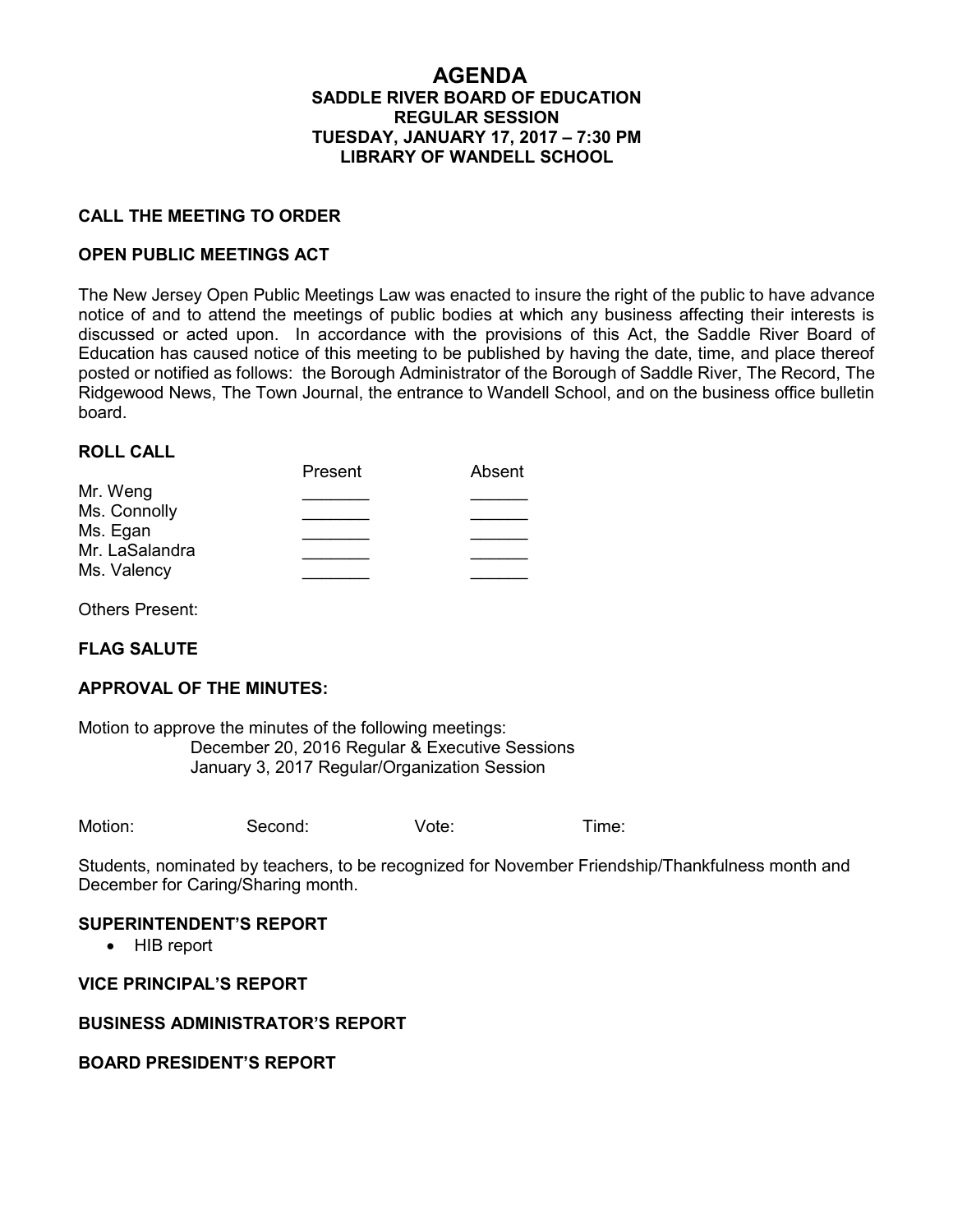# **AGENDA SADDLE RIVER BOARD OF EDUCATION REGULAR SESSION TUESDAY, JANUARY 17, 2017 – 7:30 PM LIBRARY OF WANDELL SCHOOL**

### **CALL THE MEETING TO ORDER**

#### **OPEN PUBLIC MEETINGS ACT**

The New Jersey Open Public Meetings Law was enacted to insure the right of the public to have advance notice of and to attend the meetings of public bodies at which any business affecting their interests is discussed or acted upon. In accordance with the provisions of this Act, the Saddle River Board of Education has caused notice of this meeting to be published by having the date, time, and place thereof posted or notified as follows: the Borough Administrator of the Borough of Saddle River, The Record, The Ridgewood News, The Town Journal, the entrance to Wandell School, and on the business office bulletin board.

### **ROLL CALL**

|                | Present | Absent |
|----------------|---------|--------|
| Mr. Weng       |         |        |
| Ms. Connolly   |         |        |
| Ms. Egan       |         |        |
| Mr. LaSalandra |         |        |
| Ms. Valency    |         |        |

Others Present:

# **FLAG SALUTE**

### **APPROVAL OF THE MINUTES:**

Motion to approve the minutes of the following meetings: December 20, 2016 Regular & Executive Sessions January 3, 2017 Regular/Organization Session

Motion: Second: Vote: Time:

Students, nominated by teachers, to be recognized for November Friendship/Thankfulness month and December for Caring/Sharing month.

#### **SUPERINTENDENT'S REPORT**

• HIB report

### **VICE PRINCIPAL'S REPORT**

#### **BUSINESS ADMINISTRATOR'S REPORT**

## **BOARD PRESIDENT'S REPORT**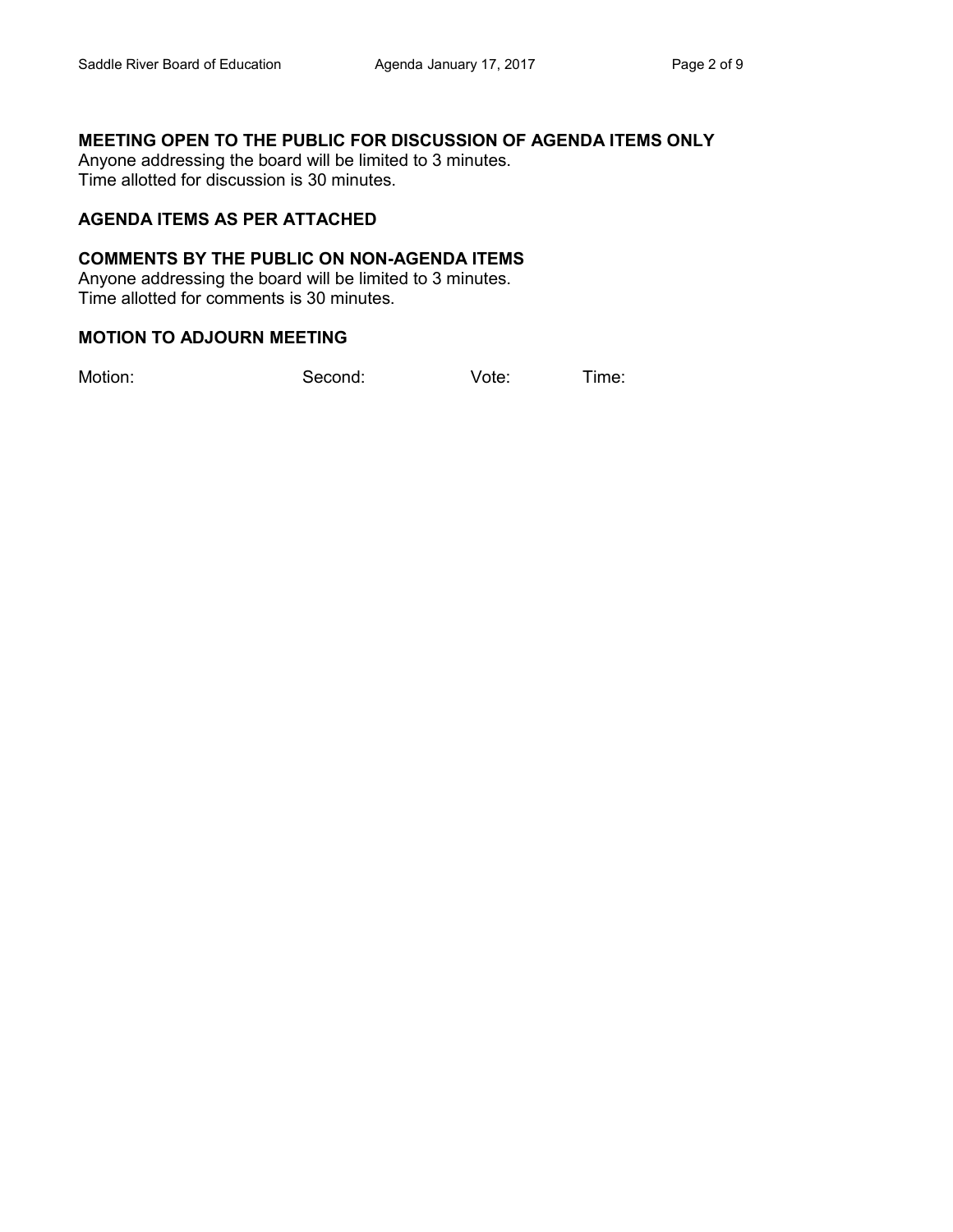# **MEETING OPEN TO THE PUBLIC FOR DISCUSSION OF AGENDA ITEMS ONLY**

Anyone addressing the board will be limited to 3 minutes. Time allotted for discussion is 30 minutes.

## **AGENDA ITEMS AS PER ATTACHED**

# **COMMENTS BY THE PUBLIC ON NON-AGENDA ITEMS**

Anyone addressing the board will be limited to 3 minutes. Time allotted for comments is 30 minutes.

### **MOTION TO ADJOURN MEETING**

Motion: Second: Vote: Time: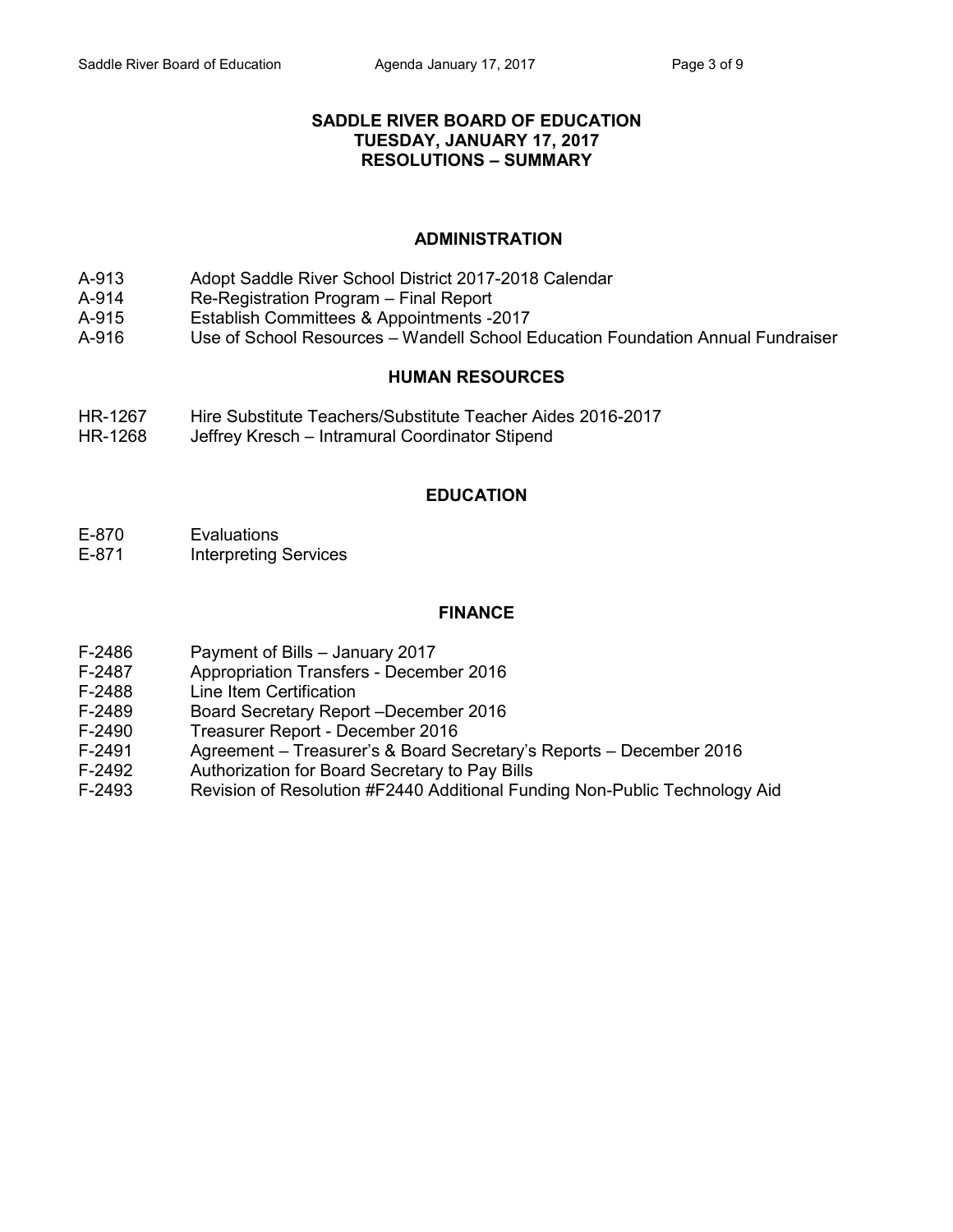# **SADDLE RIVER BOARD OF EDUCATION TUESDAY, JANUARY 17, 2017 RESOLUTIONS – SUMMARY**

# **ADMINISTRATION**

- A-913 Adopt Saddle River School District 2017-2018 Calendar
- A-914 Re-Registration Program Final Report
- A-915 Establish Committees & Appointments -2017
- A-916 Use of School Resources Wandell School Education Foundation Annual Fundraiser

# **HUMAN RESOURCES**

- HR-1267 Hire Substitute Teachers/Substitute Teacher Aides 2016-2017
- HR-1268 Jeffrey Kresch Intramural Coordinator Stipend

# **EDUCATION**

- E-870 Evaluations
- E-871 Interpreting Services

### **FINANCE**

- F-2486 Payment of Bills January 2017
- F-2487 Appropriation Transfers December 2016
- F-2488 Line Item Certification
- F-2489 Board Secretary Report –December 2016
- F-2490 Treasurer Report December 2016
- F-2491 Agreement Treasurer's & Board Secretary's Reports December 2016
- F-2492 Authorization for Board Secretary to Pay Bills
- F-2493 Revision of Resolution #F2440 Additional Funding Non-Public Technology Aid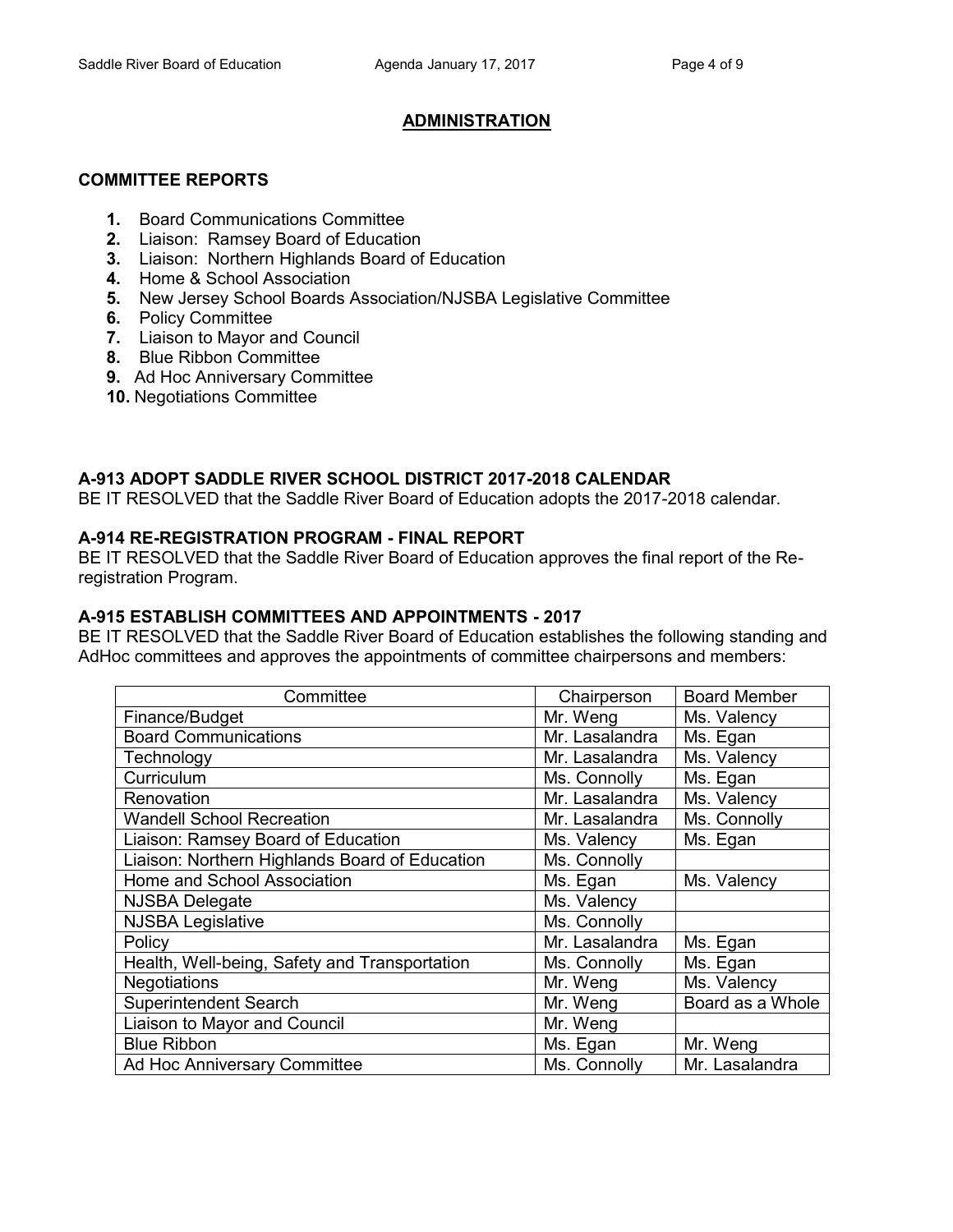# **ADMINISTRATION**

### **COMMITTEE REPORTS**

- **1.** Board Communications Committee
- **2.** Liaison: Ramsey Board of Education
- **3.** Liaison: Northern Highlands Board of Education
- **4.** Home & School Association
- **5.** New Jersey School Boards Association/NJSBA Legislative Committee
- **6.** Policy Committee
- **7.** Liaison to Mayor and Council
- **8.** Blue Ribbon Committee
- **9.** Ad Hoc Anniversary Committee
- **10.** Negotiations Committee

# **A-913 ADOPT SADDLE RIVER SCHOOL DISTRICT 2017-2018 CALENDAR**

BE IT RESOLVED that the Saddle River Board of Education adopts the 2017-2018 calendar.

# **A-914 RE-REGISTRATION PROGRAM - FINAL REPORT**

BE IT RESOLVED that the Saddle River Board of Education approves the final report of the Reregistration Program.

# **A-915 ESTABLISH COMMITTEES AND APPOINTMENTS - 2017**

BE IT RESOLVED that the Saddle River Board of Education establishes the following standing and AdHoc committees and approves the appointments of committee chairpersons and members:

| Committee                                      | Chairperson    | <b>Board Member</b> |  |
|------------------------------------------------|----------------|---------------------|--|
| Finance/Budget                                 | Mr. Weng       | Ms. Valency         |  |
| <b>Board Communications</b>                    | Mr. Lasalandra | Ms. Egan            |  |
| Technology                                     | Mr. Lasalandra | Ms. Valency         |  |
| Curriculum                                     | Ms. Connolly   | Ms. Egan            |  |
| Renovation                                     | Mr. Lasalandra | Ms. Valency         |  |
| <b>Wandell School Recreation</b>               | Mr. Lasalandra | Ms. Connolly        |  |
| Liaison: Ramsey Board of Education             | Ms. Valency    | Ms. Egan            |  |
| Liaison: Northern Highlands Board of Education | Ms. Connolly   |                     |  |
| Home and School Association                    | Ms. Egan       | Ms. Valency         |  |
| <b>NJSBA Delegate</b>                          | Ms. Valency    |                     |  |
| <b>NJSBA Legislative</b>                       | Ms. Connolly   |                     |  |
| Policy                                         | Mr. Lasalandra | Ms. Egan            |  |
| Health, Well-being, Safety and Transportation  | Ms. Connolly   | Ms. Egan            |  |
| <b>Negotiations</b>                            | Mr. Weng       | Ms. Valency         |  |
| Superintendent Search                          | Mr. Weng       | Board as a Whole    |  |
| Liaison to Mayor and Council                   | Mr. Weng       |                     |  |
| <b>Blue Ribbon</b>                             | Ms. Egan       | Mr. Weng            |  |
| Ad Hoc Anniversary Committee                   | Ms. Connolly   | Mr. Lasalandra      |  |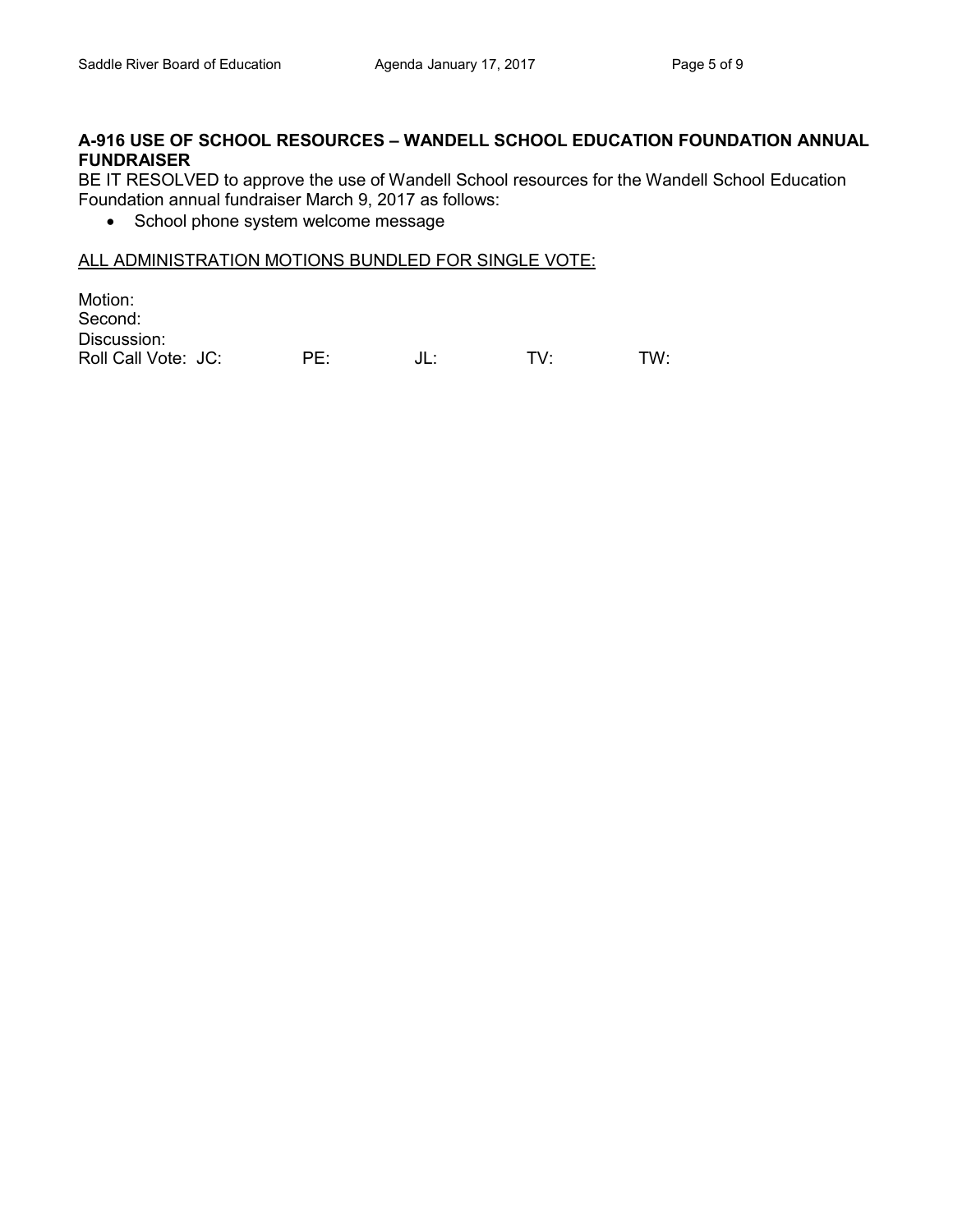# **A-916 USE OF SCHOOL RESOURCES – WANDELL SCHOOL EDUCATION FOUNDATION ANNUAL FUNDRAISER**

BE IT RESOLVED to approve the use of Wandell School resources for the Wandell School Education Foundation annual fundraiser March 9, 2017 as follows:

• School phone system welcome message

#### ALL ADMINISTRATION MOTIONS BUNDLED FOR SINGLE VOTE:

Motion: Second: Discussion: Roll Call Vote: JC: PE: JL: TV: TW: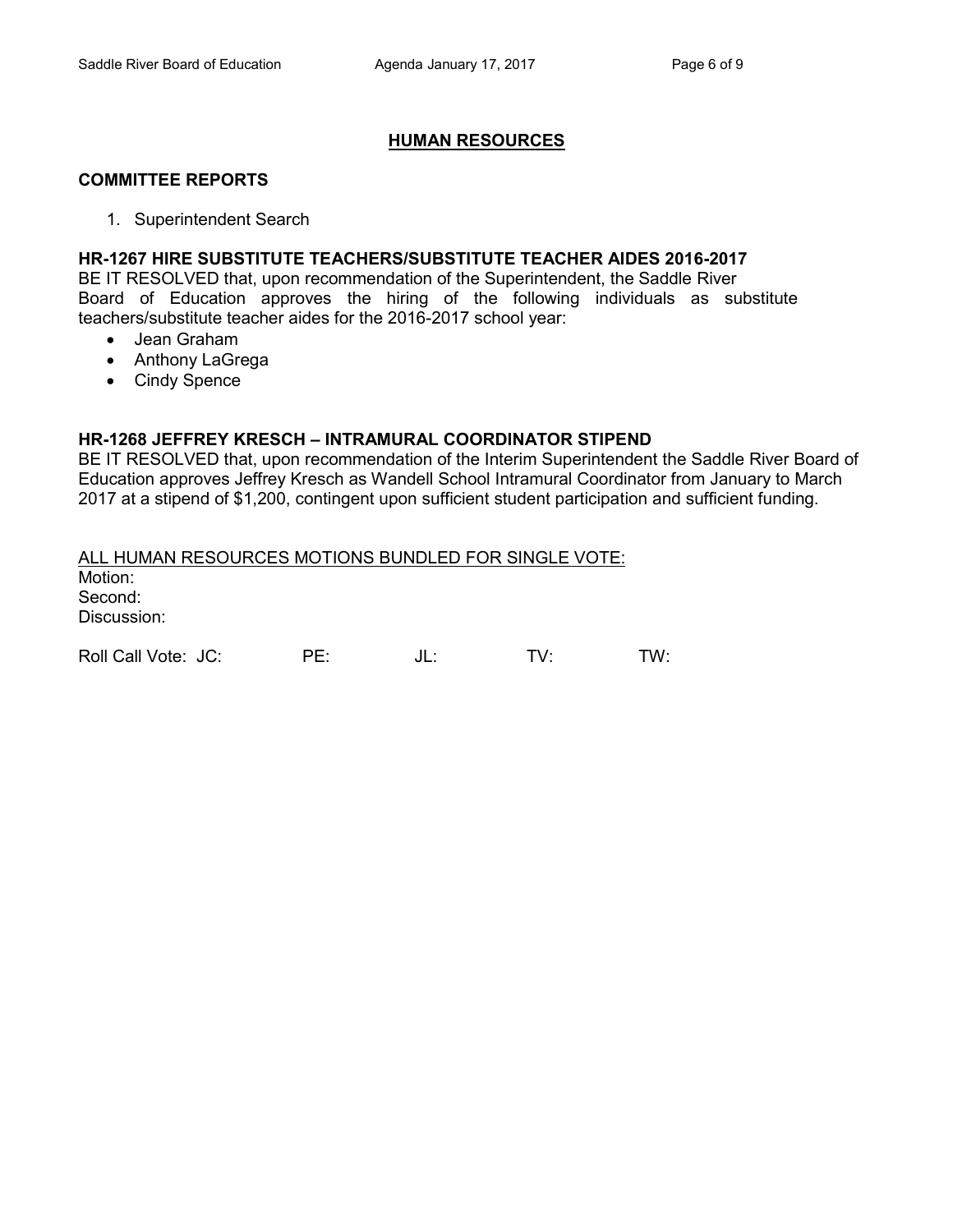# **HUMAN RESOURCES**

#### **COMMITTEE REPORTS**

1. Superintendent Search

### **HR-1267 HIRE SUBSTITUTE TEACHERS/SUBSTITUTE TEACHER AIDES 2016-2017**

BE IT RESOLVED that, upon recommendation of the Superintendent, the Saddle River Board of Education approves the hiring of the following individuals as substitute teachers/substitute teacher aides for the 2016-2017 school year:

- Jean Graham
- Anthony LaGrega
- Cindy Spence

#### **HR-1268 JEFFREY KRESCH – INTRAMURAL COORDINATOR STIPEND**

BE IT RESOLVED that, upon recommendation of the Interim Superintendent the Saddle River Board of Education approves Jeffrey Kresch as Wandell School Intramural Coordinator from January to March 2017 at a stipend of \$1,200, contingent upon sufficient student participation and sufficient funding.

| ALL HUMAN RESOURCES MOTIONS BUNDLED FOR SINGLE VOTE: |     |      |     |     |
|------------------------------------------------------|-----|------|-----|-----|
| Motion:                                              |     |      |     |     |
| Second:                                              |     |      |     |     |
| Discussion:                                          |     |      |     |     |
| Roll Call Vote: JC:                                  | PF∸ | JL : | TV. | TW∙ |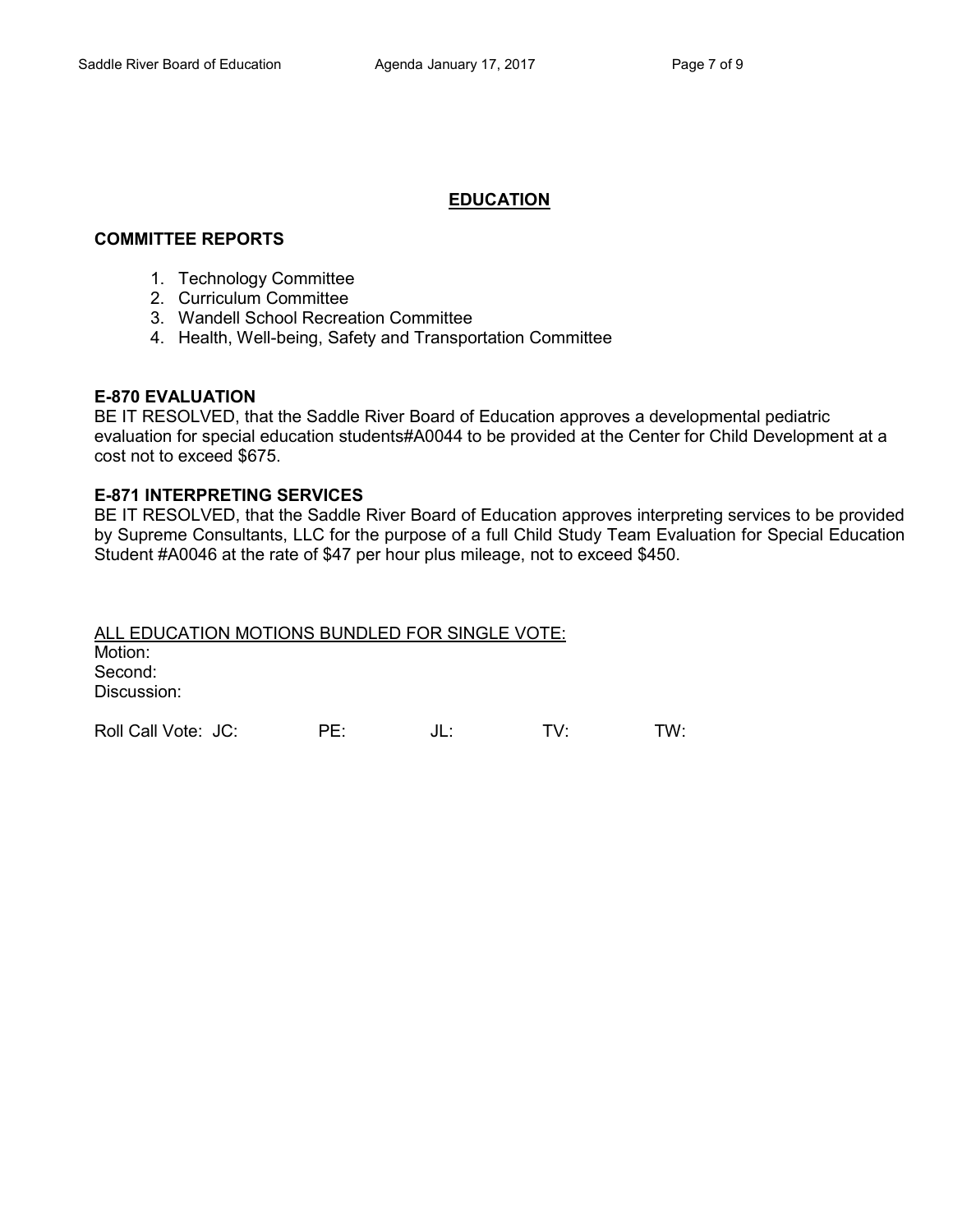# **EDUCATION**

### **COMMITTEE REPORTS**

- 1. Technology Committee
- 2. Curriculum Committee
- 3. Wandell School Recreation Committee
- 4. Health, Well-being, Safety and Transportation Committee

#### **E-870 EVALUATION**

BE IT RESOLVED, that the Saddle River Board of Education approves a developmental pediatric evaluation for special education students#A0044 to be provided at the Center for Child Development at a cost not to exceed \$675.

### **E-871 INTERPRETING SERVICES**

BE IT RESOLVED, that the Saddle River Board of Education approves interpreting services to be provided by Supreme Consultants, LLC for the purpose of a full Child Study Team Evaluation for Special Education Student #A0046 at the rate of \$47 per hour plus mileage, not to exceed \$450.

ALL EDUCATION MOTIONS BUNDLED FOR SINGLE VOTE: Motion: Second: Discussion:

Roll Call Vote: JC: PE: JL: TV: TW: TW: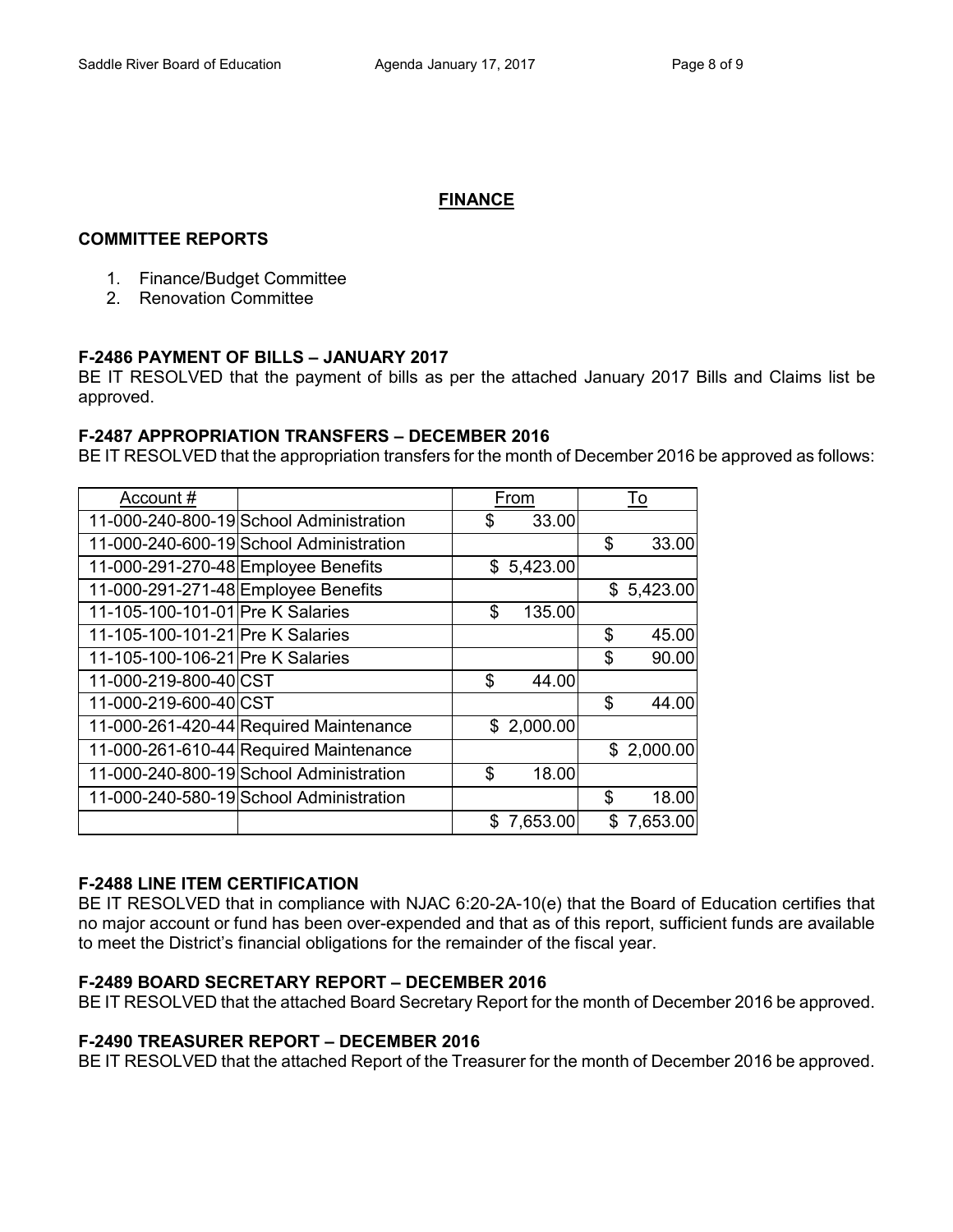# **FINANCE**

### **COMMITTEE REPORTS**

- 1. Finance/Budget Committee
- 2. Renovation Committee

### **F-2486 PAYMENT OF BILLS – JANUARY 2017**

BE IT RESOLVED that the payment of bills as per the attached January 2017 Bills and Claims list be approved.

### **F-2487 APPROPRIATION TRANSFERS – DECEMBER 2016**

BE IT RESOLVED that the appropriation transfers for the month of December 2016 be approved as follows:

| Account#                            |                                         | From |            | To  |            |
|-------------------------------------|-----------------------------------------|------|------------|-----|------------|
|                                     | 11-000-240-800-19 School Administration | \$   | 33.00      |     |            |
|                                     | 11-000-240-600-19 School Administration |      |            | \$  | 33.00      |
| 11-000-291-270-48 Employee Benefits |                                         |      | \$5,423.00 |     |            |
| 11-000-291-271-48 Employee Benefits |                                         |      |            |     | \$5,423.00 |
| 11-105-100-101-01 Pre K Salaries    |                                         | \$   | 135.00     |     |            |
| 11-105-100-101-21 Pre K Salaries    |                                         |      |            | \$  | 45.00      |
| 11-105-100-106-21 Pre K Salaries    |                                         |      |            | \$  | 90.00      |
| 11-000-219-800-40 CST               |                                         | \$   | 44.00      |     |            |
| 11-000-219-600-40 CST               |                                         |      |            | \$  | 44.00      |
|                                     | 11-000-261-420-44 Required Maintenance  |      | \$2,000.00 |     |            |
|                                     | 11-000-261-610-44 Required Maintenance  |      |            |     | \$2,000.00 |
|                                     | 11-000-240-800-19 School Administration | \$   | 18.00      |     |            |
|                                     | 11-000-240-580-19 School Administration |      |            | \$  | 18.00      |
|                                     |                                         | S    | 7,653.00   | \$. | 7,653.00   |

#### **F-2488 LINE ITEM CERTIFICATION**

BE IT RESOLVED that in compliance with NJAC 6:20-2A-10(e) that the Board of Education certifies that no major account or fund has been over-expended and that as of this report, sufficient funds are available to meet the District's financial obligations for the remainder of the fiscal year.

# **F-2489 BOARD SECRETARY REPORT – DECEMBER 2016**

BE IT RESOLVED that the attached Board Secretary Report for the month of December 2016 be approved.

#### **F-2490 TREASURER REPORT – DECEMBER 2016**

BE IT RESOLVED that the attached Report of the Treasurer for the month of December 2016 be approved.